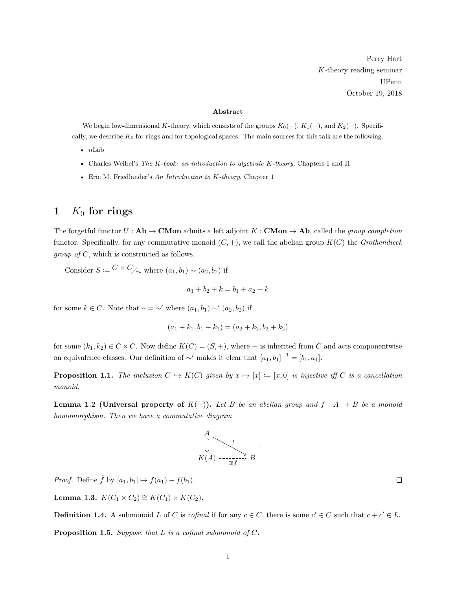Perry Hart *K*-theory reading seminar UPenn October 19, 2018

#### **Abstract**

We begin low-dimensional *K*-theory, which consists of the groups  $K_0(-)$ ,  $K_1(-)$ , and  $K_2(-)$ . Specifically, we describe  $K_0$  for rings and for topological spaces. The main sources for this talk are the following.

- *n*Lab
- Charles Weibel's *The K-book: an introduction to algebraic K-theory*, Chapters I and II
- Eric M. Friedlander's *An Introduction to K-theory*, Chapter 1

# **1** *K*<sup>0</sup> **for rings**

The forgetful functor  $U : \mathbf{Ab} \to \mathbf{CMon}$  admits a left adjoint  $K : \mathbf{CMon} \to \mathbf{Ab}$ , called the *group completion* functor. Specifically, for any commutative monoid  $(C, +)$ , we call the abelian group  $K(C)$  the *Grothendieck group of C*, which is constructed as follows.

Consider  $S := C \times C_{\diagup}$  where  $(a_1, b_1) \sim (a_2, b_2)$  if

$$
a_1 + b_2 + k = b_1 + a_2 + k
$$

for some  $k \in C$ . Note that  $\sim = \sim'$  where  $(a_1, b_1) \sim' (a_2, b_2)$  if

$$
(a_1 + k_1, b_1 + k_1) = (a_2 + k_2, b_2 + k_2)
$$

for some  $(k_1, k_2) \in C \times C$ . Now define  $K(C) = (S, +)$ , where  $+$  is inherited from *C* and acts componentwise on equivalence classes. Our definition of  $\sim'$  makes it clear that  $[a_1, b_1]^{-1} = [b_1, a_1]$ .

**Proposition 1.1.** *The inclusion*  $C \hookrightarrow K(C)$  *given by*  $x \mapsto [x] := [x, 0]$  *is injective iff*  $C$  *is a cancellation monoid.*

**Lemma 1.2 (Universal property of**  $K(-)$ ). Let B be an abelian group and  $f : A \rightarrow B$  be a monoid *homomorphism. Then we have a commutative diagram*



*Proof.* Define  $\tilde{f}$  by  $[a_1, b_1] \mapsto f(a_1) - f(b_1)$ .

<span id="page-0-0"></span>**Lemma 1.3.** *K*(*C*<sub>1</sub> × *C*<sub>2</sub>) ≅ *K*(*C*<sub>1</sub>) × *K*(*C*<sub>2</sub>)*.* 

<span id="page-0-1"></span>**Definition 1.4.** A submonoid *L* of *C* is *cofinal* if for any  $c \in C$ , there is some  $c' \in C$  such that  $c + c' \in L$ . **Proposition 1.5.** *Suppose that L is a cofinal submonoid of C.*

 $\Box$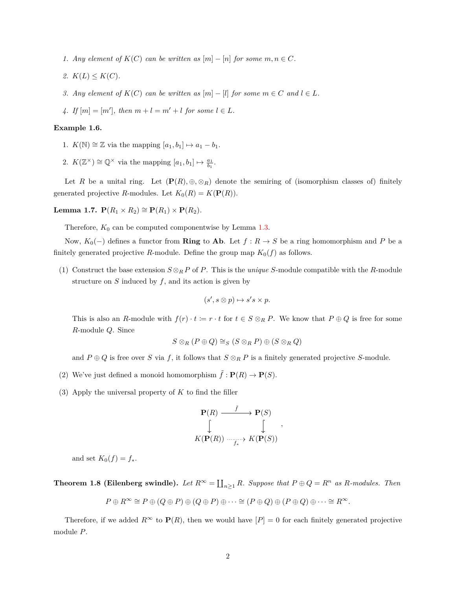- *1. Any element of*  $K(C)$  *can be written as*  $[m] [n]$  *for some*  $m, n \in C$ *.*
- *2.*  $K(L) \leq K(C)$ .
- *3. Any* element of  $K(C)$  *can be written as*  $[m] [l]$  *for some*  $m \in C$  *and*  $l \in L$ *.*
- *4. If*  $[m] = [m']$ , then  $m + l = m' + l$  for some  $l \in L$ .

#### <span id="page-1-0"></span>**Example 1.6.**

- 1.  $K(\mathbb{N}) \cong \mathbb{Z}$  via the mapping  $[a_1, b_1] \mapsto a_1 b_1$ .
- 2.  $K(\mathbb{Z}^{\times}) \cong \mathbb{Q}^{\times}$  via the mapping  $[a_1, b_1] \mapsto \frac{a_1}{b_1}$ .

Let *R* be a unital ring. Let  $(\mathbf{P}(R), \oplus, \otimes_R)$  denote the semiring of (isomorphism classes of) finitely generated projective *R*-modules. Let  $K_0(R) = K(\mathbf{P}(R))$ .

**Lemma 1.7. P**( $R_1 \times R_2$ ) ≅ **P**( $R_1$ ) × **P**( $R_2$ )*.* 

Therefore,  $K_0$  can be computed componentwise by Lemma [1.3.](#page-0-0)

Now, *K*0(−) defines a functor from **Ring** to **Ab**. Let *f* : *R* → *S* be a ring homomorphism and *P* be a finitely generated projective *R*-module. Define the group map  $K_0(f)$  as follows.

(1) Construct the base extension  $S \otimes_R P$  of *P*. This is the *unique S*-module compatible with the *R*-module structure on  $S$  induced by  $f$ , and its action is given by

$$
(s', s \otimes p) \mapsto s's \times p.
$$

This is also an *R*-module with  $f(r) \cdot t := r \cdot t$  for  $t \in S \otimes_R P$ . We know that  $P \oplus Q$  is free for some *R*-module *Q*. Since

$$
S\otimes_R(P\oplus Q)\cong_S(S\otimes_R P)\oplus(S\otimes_R Q)
$$

and  $P \oplus Q$  is free over *S* via *f*, it follows that  $S \otimes_R P$  is a finitely generated projective *S*-module.

- (2) We've just defined a monoid homomorphism  $\tilde{f}: \mathbf{P}(R) \to \mathbf{P}(S)$ .
- (3) Apply the universal property of *K* to find the filler

$$
\begin{array}{ccc}\n\mathbf{P}(R) & \xrightarrow{\tilde{f}} & \mathbf{P}(S) \\
\downarrow & & \downarrow \\
K(\mathbf{P}(R)) & \xrightarrow{f_*} & K(\mathbf{P}(S))\n\end{array},
$$

and set  $K_0(f) = f_*$ .

**Theorem 1.8 (Eilenberg swindle).** Let  $R^{\infty} = \coprod_{n \geq 1} R$ . Suppose that  $P \oplus Q = R^n$  as R-modules. Then

$$
P \oplus R^{\infty} \cong P \oplus (Q \oplus P) \oplus (Q \oplus P) \oplus \cdots \cong (P \oplus Q) \oplus (P \oplus Q) \oplus \cdots \cong R^{\infty}.
$$

Therefore, if we added  $R^{\infty}$  to  $P(R)$ , then we would have  $[P] = 0$  for each finitely generated projective module *P*.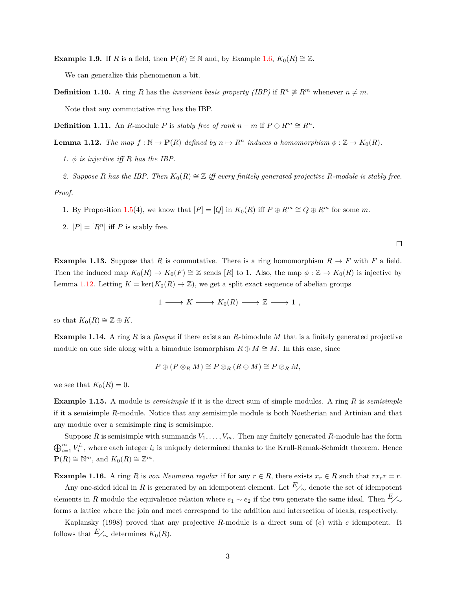**Example 1.9.** If *R* is a field, then  $P(R) \cong \mathbb{N}$  and, by Example [1.6,](#page-1-0)  $K_0(R) \cong \mathbb{Z}$ .

We can generalize this phenomenon a bit.

**Definition 1.10.** A ring *R* has the *invariant basis property (IBP)* if  $R^n \not\cong R^m$  whenever  $n \neq m$ . Note that any commutative ring has the IBP.

**Definition 1.11.** An *R*-module *P* is *stably free of rank*  $n - m$  if  $P \oplus R^m \cong R^n$ .

<span id="page-2-0"></span>**Lemma 1.12.** *The map*  $f : \mathbb{N} \to \mathbf{P}(R)$  *defined by*  $n \mapsto R^n$  *induces a homomorphism*  $\phi : \mathbb{Z} \to K_0(R)$ *.* 

*1.*  $\phi$  *is injective iff*  $R$  *has the IBP.* 

2. Suppose *R* has the IBP. Then  $K_0(R) \cong \mathbb{Z}$  iff every finitely generated projective *R*-module is stably free. *Proof.*

1. By Proposition [1.5\(](#page-0-1)4), we know that  $[P] = [Q]$  in  $K_0(R)$  iff  $P \oplus R^m \cong Q \oplus R^m$  for some *m*.

2.  $[P] = [R^n]$  iff *P* is stably free.

**Example 1.13.** Suppose that *R* is commutative. There is a ring homomorphism  $R \to F$  with *F* a field. Then the induced map  $K_0(R) \to K_0(F) \cong \mathbb{Z}$  sends [*R*] to 1. Also, the map  $\phi : \mathbb{Z} \to K_0(R)$  is injective by Lemma [1.12.](#page-2-0) Letting  $K = \text{ker}(K_0(R) \to \mathbb{Z})$ , we get a split exact sequence of abelian groups

 $\Box$ 

$$
1 \longrightarrow K \longrightarrow K_0(R) \longrightarrow \mathbb{Z} \longrightarrow 1 ,
$$

so that  $K_0(R) \cong \mathbb{Z} \oplus K$ .

**Example 1.14.** A ring *R* is a *flasque* if there exists an *R*-bimodule *M* that is a finitely generated projective module on one side along with a bimodule isomorphism  $R \oplus M \cong M$ . In this case, since

$$
P \oplus (P \otimes_R M) \cong P \otimes_R (R \oplus M) \cong P \otimes_R M,
$$

we see that  $K_0(R) = 0$ .

**Example 1.15.** A module is *semisimple* if it is the direct sum of simple modules. A ring *R* is *semisimple* if it a semisimple *R*-module. Notice that any semisimple module is both Noetherian and Artinian and that any module over a semisimple ring is semisimple.

Suppose *R* is semisimple with summands  $V_1, \ldots, V_m$ . Then any finitely generated *R*-module has the form  $\bigoplus_{i=1}^m V_i^{l_i}$ , where each integer  $l_i$  is uniquely determined thanks to the Krull-Remak-Schmidt theorem. Hence  $\mathbf{P}(R) \cong \mathbb{N}^m$ , and  $K_0(R) \cong \mathbb{Z}^m$ .

<span id="page-2-2"></span>**Example 1.16.** A ring *R* is *von Neumann regular* if for any  $r \in R$ , there exists  $x_r \in R$  such that  $rx_r r = r$ .

Any one-sided ideal in *R* is generated by an idempotent element. Let  $E_{\n\sim}$  denote the set of idempotent elements in *R* modulo the equivalence relation where  $e_1 \sim e_2$  if the two generate the same ideal. Then  $E_{\sim}$ forms a lattice where the join and meet correspond to the addition and intersection of ideals, respectively.

<span id="page-2-1"></span>Kaplansky (1998) proved that any projective *R*-module is a direct sum of (*e*) with *e* idempotent. It follows that  $E_{\nightharpoonup}$  determines  $K_0(R)$ .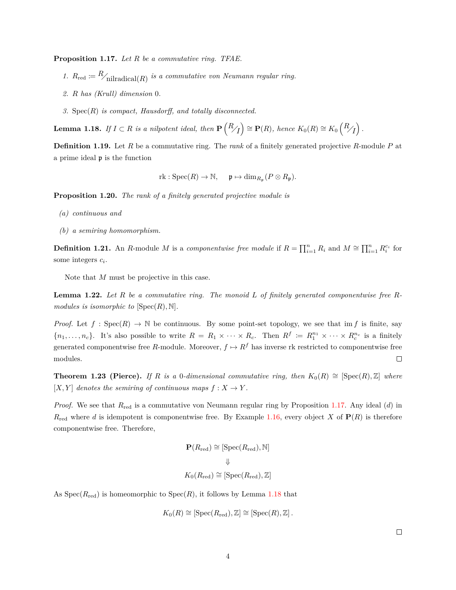**Proposition 1.17.** *Let R be a commutative ring. TFAE.*

- 1.  $R_{\text{red}} \coloneqq R_{\text{initial}(R)}$  is a commutative von Neumann regular ring.
- *2. R has (Krull) dimension* 0*.*
- *3.* Spec(*R*) *is compact, Hausdorff, and totally disconnected.*

<span id="page-3-0"></span> $\mathbf{Lemma\ 1.18.}$  *If*  $I \subset R$  *is a nilpotent ideal, then*  $\mathbf{P}\left(\frac{R}{I}\right) \cong \mathbf{P}(R)$ *, hence*  $K_0(R) \cong K_0\left(\frac{R}{I}\right)$ .

**Definition 1.19.** Let *R* be a commutative ring. The *rank* of a finitely generated projective *R*-module *P* at a prime ideal p is the function

 $\text{rk} : \text{Spec}(R) \to \mathbb{N}, \quad \mathfrak{p} \mapsto \dim_{R_{\mathfrak{p}}}(P \otimes R_{\mathfrak{p}}).$ 

**Proposition 1.20.** *The rank of a finitely generated projective module is*

- *(a) continuous and*
- *(b) a semiring homomorphism.*

**Definition 1.21.** An *R*-module *M* is a *componentwise free module* if  $R = \prod_{i=1}^{n} R_i$  and  $M \cong \prod_{i=1}^{n} R_i^{c_i}$  for some integers *c<sup>i</sup>* .

Note that *M* must be projective in this case.

<span id="page-3-1"></span>**Lemma 1.22.** *Let R be a commutative ring. The monoid L of finitely generated componentwise free Rmodules is isomorphic to*  $[\text{Spec}(R), \mathbb{N}]$ *.* 

*Proof.* Let  $f : \text{Spec}(R) \to \mathbb{N}$  be continuous. By some point-set topology, we see that im f is finite, say  ${n_1, \ldots, n_c}$ . It's also possible to write  $R = R_1 \times \cdots \times R_c$ . Then  $R^f \coloneqq R_1^{n_1} \times \cdots \times R_c^{n_c}$  is a finitely generated componentwise free *R*-module. Moreover,  $f \mapsto R^f$  has inverse rk restricted to componentwise free modules.  $\Box$ 

**Theorem 1.23 (Pierce).** *If R is a* 0*-dimensional commutative ring, then*  $K_0(R) \cong [\text{Spec}(R), \mathbb{Z}]$  *where*  $[X, Y]$  *denotes the semiring of continuous maps*  $f : X \to Y$ .

*Proof.* We see that *R*red is a commutative von Neumann regular ring by Proposition [1.17.](#page-2-1) Any ideal (*d*) in  $R_{\text{red}}$  where *d* is idempotent is componentwise free. By Example [1.16,](#page-2-2) every object *X* of  $P(R)$  is therefore componentwise free. Therefore,

$$
\mathbf{P}(R_{\text{red}}) \cong [\text{Spec}(R_{\text{red}}), \mathbb{N}]
$$

$$
\Downarrow
$$

$$
K_0(R_{\text{red}}) \cong [\text{Spec}(R_{\text{red}}), \mathbb{Z}]
$$

As  $Spec(R_{red})$  is homeomorphic to  $Spec(R)$ , it follows by Lemma [1.18](#page-3-0) that

$$
K_0(R) \cong [\operatorname{Spec}(R_{\operatorname{red}}), \mathbb{Z}] \cong [\operatorname{Spec}(R), \mathbb{Z}].
$$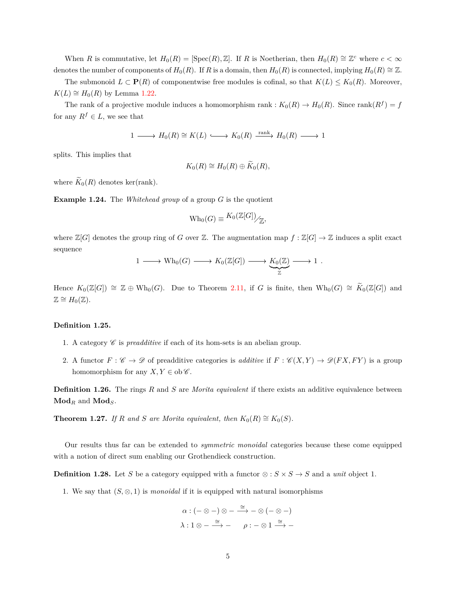When *R* is commutative, let  $H_0(R) = [\text{Spec}(R), \mathbb{Z}]$ . If *R* is Noetherian, then  $H_0(R) \cong \mathbb{Z}^c$  where  $c < \infty$ denotes the number of components of  $H_0(R)$ . If *R* is a domain, then  $H_0(R)$  is connected, implying  $H_0(R) \cong \mathbb{Z}$ .

The submonoid  $L \subset \mathbf{P}(R)$  of componentwise free modules is cofinal, so that  $K(L) \leq K_0(R)$ . Moreover, *K*(*L*) ≅ *H*<sub>0</sub>(*R*) by Lemma [1.22.](#page-3-1)

The rank of a projective module induces a homomorphism rank :  $K_0(R) \to H_0(R)$ . Since rank $(R^f) = f$ for any  $R^f \in L$ , we see that

$$
1 \longrightarrow H_0(R) \cong K(L) \longrightarrow K_0(R) \xrightarrow{\text{rank}} H_0(R) \longrightarrow 1
$$

splits. This implies that

$$
K_0(R) \cong H_0(R) \oplus \widetilde{K}_0(R),
$$

where  $\widetilde{K}_0(R)$  denotes ker(rank).

**Example 1.24.** The *Whitehead group* of a group *G* is the quotient

$$
\operatorname{Wh}_0(G) \equiv \frac{K_0(\mathbb{Z}[G])}{\mathbb{Z}}.
$$

where  $\mathbb{Z}[G]$  denotes the group ring of *G* over  $\mathbb{Z}$ . The augmentation map  $f : \mathbb{Z}[G] \to \mathbb{Z}$  induces a split exact sequence

$$
1 \longrightarrow Wh_0(G) \longrightarrow K_0(\mathbb{Z}[G]) \longrightarrow \underset{\mathbb{Z}}{K_0(\mathbb{Z})} \longrightarrow 1.
$$

Hence  $K_0(\mathbb{Z}[G]) \cong \mathbb{Z} \oplus \text{Wh}_0(G)$ . Due to Theorem [2.11,](#page-8-0) if *G* is finite, then  $\text{Wh}_0(G) \cong \widetilde{K}_0(\mathbb{Z}[G])$  and  $\mathbb{Z} \cong H_0(\mathbb{Z}).$ 

#### **Definition 1.25.**

- 1. A category  $\mathscr C$  is *preadditive* if each of its hom-sets is an abelian group.
- 2. A functor  $F : \mathscr{C} \to \mathscr{D}$  of preadditive categories is *additive* if  $F : \mathscr{C}(X,Y) \to \mathscr{D}(FX,FY)$  is a group homomorphism for any  $X, Y \in ob \mathscr{C}$ .

**Definition 1.26.** The rings *R* and *S* are *Morita equivalent* if there exists an additive equivalence between  $\mathbf{Mod}_R$  and  $\mathbf{Mod}_S$ .

**Theorem 1.27.** *If R* and *S* are Morita equivalent, then  $K_0(R) \cong K_0(S)$ .

Our results thus far can be extended to *symmetric monoidal* categories because these come equipped with a notion of direct sum enabling our Grothendieck construction.

**Definition 1.28.** Let *S* be a category equipped with a functor  $\otimes : S \times S \to S$  and a *unit* object 1.

1. We say that  $(S, \otimes, 1)$  is *monoidal* if it is equipped with natural isomorphisms

$$
\alpha: (- \otimes -) \otimes - \xrightarrow{\cong} - \otimes (- \otimes -)
$$
  

$$
\lambda: 1 \otimes - \xrightarrow{\cong} - \qquad \rho: - \otimes 1 \xrightarrow{\cong} -
$$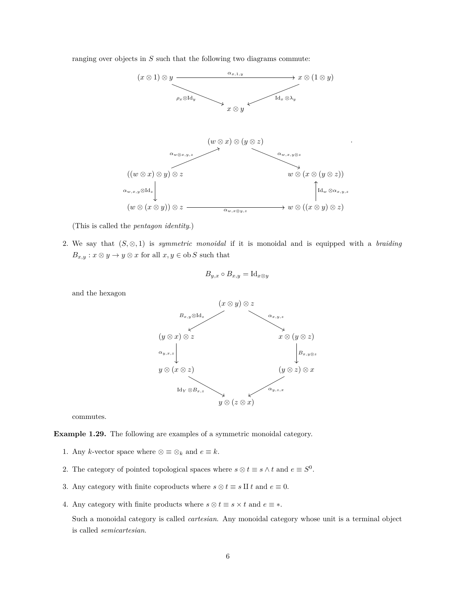ranging over objects in *S* such that the following two diagrams commute:



(This is called the *pentagon identity*.)

2. We say that  $(S, \otimes, 1)$  is *symmetric monoidal* if it is monoidal and is equipped with a *braiding*  $B_{x,y}: x \otimes y \to y \otimes x$  for all  $x,y \in \text{ob}\, S$  such that

$$
B_{y,x} \circ B_{x,y} = \mathrm{Id}_{x \otimes y}
$$

and the hexagon



commutes.

**Example 1.29.** The following are examples of a symmetric monoidal category.

- 1. Any *k*-vector space where  $\otimes \equiv \otimes_k$  and  $e \equiv k$ .
- 2. The category of pointed topological spaces where  $s \otimes t \equiv s \wedge t$  and  $e \equiv S^0$ .
- 3. Any category with finite coproducts where  $s \otimes t \equiv s \amalg t$  and  $e \equiv 0$ .
- 4. Any category with finite products where  $s \otimes t \equiv s \times t$  and  $e \equiv *$ .

Such a monoidal category is called *cartesian*. Any monoidal category whose unit is a terminal object is called *semicartesian*.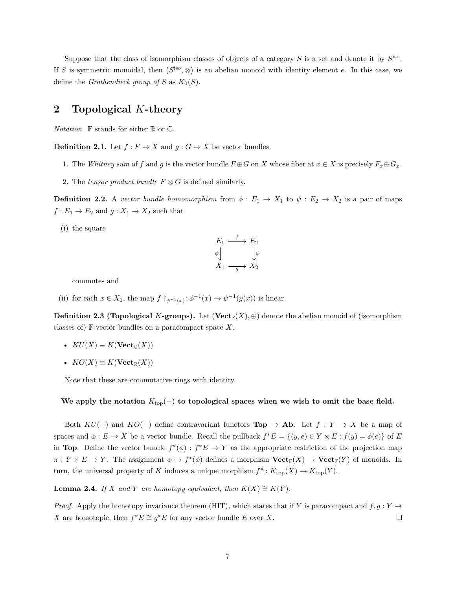Suppose that the class of isomorphism classes of objects of a category  $S$  is a set and denote it by  $S^{\text{iso}}$ . If *S* is symmetric monoidal, then  $(S^{iso}, \otimes)$  is an abelian monoid with identity element *e*. In this case, we define the *Grothendieck group of S* as  $K_0(S)$ .

## **2 Topological** *K***-theory**

*Notation.* F stands for either R or C.

**Definition 2.1.** Let  $f : F \to X$  and  $g : G \to X$  be vector bundles.

- 1. The *Whitney sum* of f and g is the vector bundle  $F \oplus G$  on X whose fiber at  $x \in X$  is precisely  $F_x \oplus G_x$ .
- 2. The *tensor product bundle*  $F \otimes G$  is defined similarly.

**Definition 2.2.** A *vector bundle homomorphism* from  $\phi : E_1 \to X_1$  to  $\psi : E_2 \to X_2$  is a pair of maps  $f: E_1 \to E_2$  and  $g: X_1 \to X_2$  such that

(i) the square

$$
E_1 \xrightarrow{f} E_2
$$
  
\n
$$
\phi \downarrow \qquad \qquad \downarrow \psi
$$
  
\n
$$
X_1 \xrightarrow{g} X_2
$$

commutes and

(ii) for each  $x \in X_1$ , the map  $f \upharpoonright_{\phi^{-1}(x)} : \phi^{-1}(x) \to \psi^{-1}(g(x))$  is linear.

**Definition 2.3 (Topological** *K***-groups).** Let  $(\textbf{Vect}_{\mathbb{F}}(X), \oplus)$  denote the abelian monoid of (isomorphism classes of) F-vector bundles on a paracompact space *X*.

- $KU(X) \equiv K(\textbf{Vect}_{\mathbb{C}}(X))$
- $KO(X) \equiv K(\mathbf{Vect}_{\mathbb{R}}(X))$

Note that these are commutative rings with identity.

We apply the notation  $K_{\text{top}}(-)$  to topological spaces when we wish to omit the base field.

Both  $KU(-)$  and  $KO(-)$  define contravariant functors **Top**  $\rightarrow$  **Ab**. Let  $f: Y \rightarrow X$  be a map of spaces and  $\phi: E \to X$  be a vector bundle. Recall the pullback  $f^*E = \{(y, e) \in Y \times E : f(y) = \phi(e)\}\$  of *E* in **Top**. Define the vector bundle  $f^*(\phi) : f^*E \to Y$  as the appropriate restriction of the projection map  $\pi: Y \times E \to Y$ . The assignment  $\phi \mapsto f^*(\phi)$  defines a morphism  $\textbf{Vect}_{\mathbb{F}}(X) \to \textbf{Vect}_{\mathbb{F}}(Y)$  of monoids. In turn, the universal property of *K* induces a unique morphism  $f^*: K_{\text{top}}(X) \to K_{\text{top}}(Y)$ .

**Lemma 2.4.** *If X and Y are homotopy equivalent, then*  $K(X) \cong K(Y)$ *.* 

*Proof.* Apply the homotopy invariance theorem (HIT), which states that if *Y* is paracompact and  $f, g: Y \rightarrow$ *X* are homotopic, then  $f^*E \cong g^*E$  for any vector bundle *E* over *X*.  $\Box$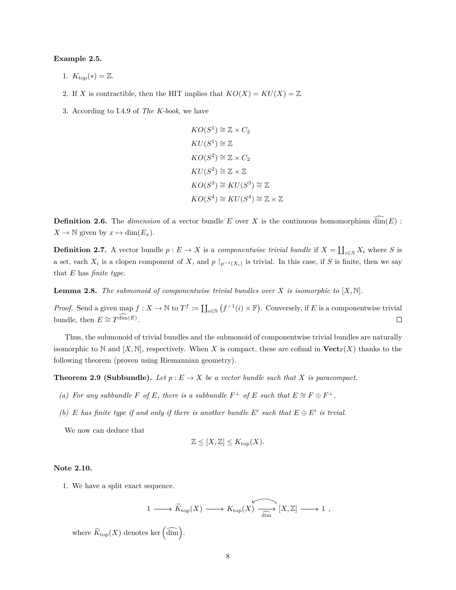#### **Example 2.5.**

- 1.  $K_{\text{top}}(*) = \mathbb{Z}.$
- 2. If *X* is contractible, then the HIT implies that  $KO(X) = KU(X) = \mathbb{Z}$
- 3. According to I.4.9 of *The K-book*, we have

$$
KO(S^1) \cong \mathbb{Z} \times C_2
$$
  
\n
$$
KU(S^1) \cong \mathbb{Z}
$$
  
\n
$$
KO(S^2) \cong \mathbb{Z} \times C_2
$$
  
\n
$$
KU(S^2) \cong \mathbb{Z} \times \mathbb{Z}
$$
  
\n
$$
KO(S^3) \cong KU(S^3) \cong \mathbb{Z}
$$
  
\n
$$
KO(S^4) \cong KU(S^4) \cong \mathbb{Z} \times \mathbb{Z}
$$

**Definition 2.6.** The *dimension* of a vector bundle *E* over *X* is the continuous homomorphism  $\dim(E)$ :  $X \to \mathbb{N}$  given by  $x \mapsto \dim(E_x)$ .

**Definition 2.7.** A vector bundle  $p: E \to X$  is a *componentwise trivial bundle* if  $X = \coprod_{i \in S} X_i$  where *S* is a set, each  $X_i$  is a clopen component of  $X$ , and  $p \restriction_{p^{-1}(X_i)}$  is trivial. In this case, if  $S$  is finite, then we say that *E* has *finite type*.

**Lemma 2.8.** *The submonoid of componentwise trivial bundles over X is isomorphic to*  $[X, \mathbb{N}]$ *.* 

*Proof.* Send a given map  $f: X \to \mathbb{N}$  to  $T^f := \coprod_{i \in \mathbb{N}} (f^{-1}(i) \times \mathbb{F})$ . Conversely, if *E* is a componentwise trivial bundle, then  $E \cong T^{\dim(E)}$ .  $\Box$ 

Thus, the submonoid of trivial bundles and the submonoid of componentwise trivial bundles are naturally isomorphic to N and  $[X, N]$ , respectively. When X is compact, these are cofinal in  $Vect_{\mathbb{F}}(X)$  thanks to the following theorem (proven using Riemannian geometry).

**Theorem 2.9 (Subbundle).** Let  $p: E \to X$  be a vector bundle such that X is paracompact.

- *(a)* For any subbundle F of E, there is a subbundle  $F^{\perp}$  of E such that  $E \cong F \oplus F^{\perp}$ .
- *(b)*  $E$  *has finite type if and only if there is another bundle*  $E'$  *such that*  $E \oplus E'$  *is trvial.*

We now can deduce that

$$
\mathbb{Z} \leq [X, \mathbb{Z}] \leq K_{\text{top}}(X).
$$

### **Note 2.10.**

1. We have a split exact sequence.

$$
1 \longrightarrow \widetilde{K}_{\text{top}}(X) \longrightarrow K_{\text{top}}(X) \overbrace{\overline{\dim}}^{\text{min}} [X, \mathbb{Z}] \longrightarrow 1 ,
$$

where  $\widetilde{K}_{\text{top}}(X)$  denotes ker  $\left(\widehat{\dim}\right)$ .